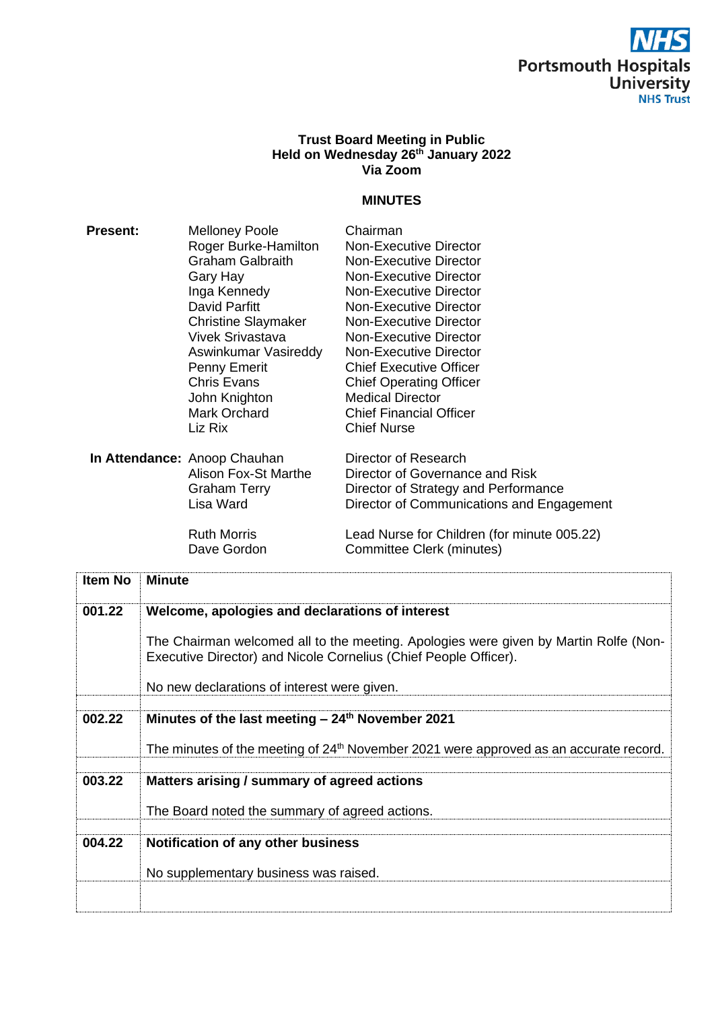# Portsmouth Hospitals<br>University **NHS Trust**

#### **Trust Board Meeting in Public Held on Wednesday 26 th January 2022 Via Zoom**

#### **MINUTES**

| <b>Present:</b> | <b>Melloney Poole</b>        | Chairman                       |  |
|-----------------|------------------------------|--------------------------------|--|
|                 | Roger Burke-Hamilton         | Non-Executive Director         |  |
|                 | <b>Graham Galbraith</b>      | Non-Executive Director         |  |
|                 | Gary Hay                     | Non-Executive Director         |  |
|                 | Inga Kennedy                 | Non-Executive Director         |  |
|                 | David Parfitt                | Non-Executive Director         |  |
|                 | <b>Christine Slaymaker</b>   | Non-Executive Director         |  |
|                 | Vivek Srivastava             | Non-Executive Director         |  |
|                 | Aswinkumar Vasireddy         | Non-Executive Director         |  |
|                 | Penny Emerit                 | <b>Chief Executive Officer</b> |  |
|                 | <b>Chris Evans</b>           | <b>Chief Operating Officer</b> |  |
|                 | John Knighton                | <b>Medical Director</b>        |  |
|                 | Mark Orchard                 | <b>Chief Financial Officer</b> |  |
|                 | Liz Rix                      | <b>Chief Nurse</b>             |  |
|                 | In Attendance: Anoop Chauhan | Director of Research           |  |
|                 |                              |                                |  |

Alison Fox-St Marthe Director of Governance and Risk Graham Terry **Director of Strategy and Performance**<br>
Lisa Ward **Director of Communications and Enga** Director of Communications and Engagement

Ruth Morris **Lead Nurse for Children (for minute 005.22)**<br>Dave Gordon Committee Clerk (minutes) **Committee Clerk (minutes)** 

| <b>Item No</b> | <b>Minute</b>                                                                                                                                            |
|----------------|----------------------------------------------------------------------------------------------------------------------------------------------------------|
| 001.22         | Welcome, apologies and declarations of interest                                                                                                          |
|                | The Chairman welcomed all to the meeting. Apologies were given by Martin Rolfe (Non-<br>Executive Director) and Nicole Cornelius (Chief People Officer). |
|                | No new declarations of interest were given.                                                                                                              |
|                |                                                                                                                                                          |
| 002.22         | Minutes of the last meeting $-24$ <sup>th</sup> November 2021                                                                                            |
|                | The minutes of the meeting of $24th$ November 2021 were approved as an accurate record.                                                                  |
|                |                                                                                                                                                          |
| 003.22         | Matters arising / summary of agreed actions                                                                                                              |
|                | The Board noted the summary of agreed actions.                                                                                                           |
|                |                                                                                                                                                          |
| 004.22         | Notification of any other business                                                                                                                       |
|                | No supplementary business was raised.                                                                                                                    |
|                |                                                                                                                                                          |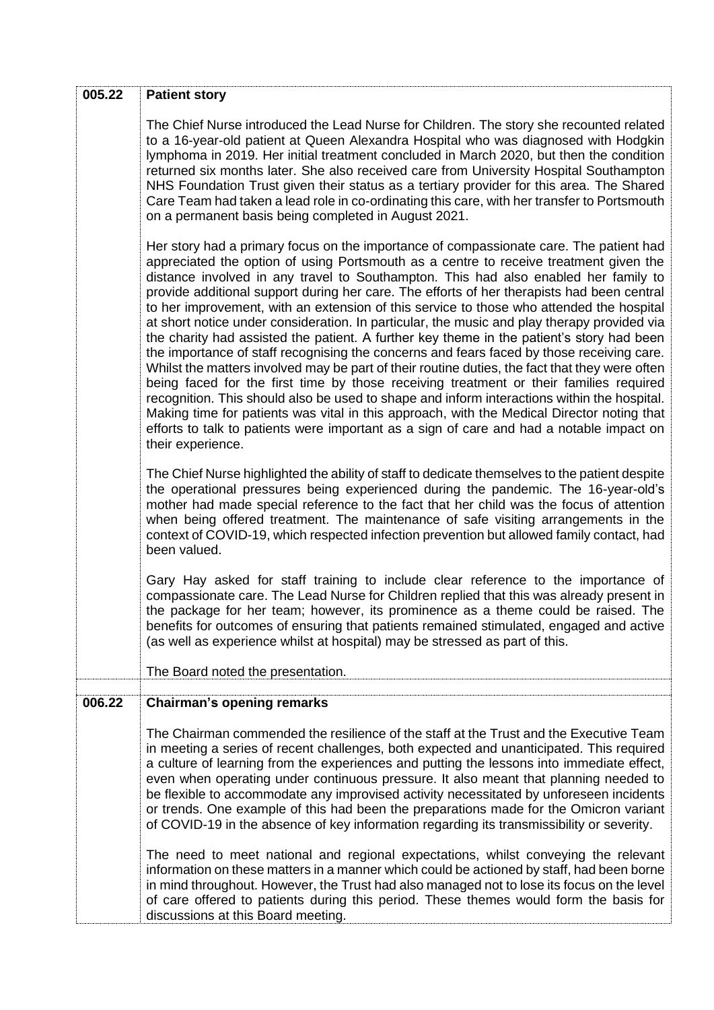| 005.22 | <b>Patient story</b>                                                                                                                                                                                                                                                                                                                                                                                                                                                                                                                                                                                                                                                                                                                                                                                                                                                                                                                                                                                                                                                                                                                                                                                                                                                |
|--------|---------------------------------------------------------------------------------------------------------------------------------------------------------------------------------------------------------------------------------------------------------------------------------------------------------------------------------------------------------------------------------------------------------------------------------------------------------------------------------------------------------------------------------------------------------------------------------------------------------------------------------------------------------------------------------------------------------------------------------------------------------------------------------------------------------------------------------------------------------------------------------------------------------------------------------------------------------------------------------------------------------------------------------------------------------------------------------------------------------------------------------------------------------------------------------------------------------------------------------------------------------------------|
|        | The Chief Nurse introduced the Lead Nurse for Children. The story she recounted related<br>to a 16-year-old patient at Queen Alexandra Hospital who was diagnosed with Hodgkin<br>lymphoma in 2019. Her initial treatment concluded in March 2020, but then the condition<br>returned six months later. She also received care from University Hospital Southampton<br>NHS Foundation Trust given their status as a tertiary provider for this area. The Shared<br>Care Team had taken a lead role in co-ordinating this care, with her transfer to Portsmouth<br>on a permanent basis being completed in August 2021.                                                                                                                                                                                                                                                                                                                                                                                                                                                                                                                                                                                                                                              |
|        | Her story had a primary focus on the importance of compassionate care. The patient had<br>appreciated the option of using Portsmouth as a centre to receive treatment given the<br>distance involved in any travel to Southampton. This had also enabled her family to<br>provide additional support during her care. The efforts of her therapists had been central<br>to her improvement, with an extension of this service to those who attended the hospital<br>at short notice under consideration. In particular, the music and play therapy provided via<br>the charity had assisted the patient. A further key theme in the patient's story had been<br>the importance of staff recognising the concerns and fears faced by those receiving care.<br>Whilst the matters involved may be part of their routine duties, the fact that they were often<br>being faced for the first time by those receiving treatment or their families required<br>recognition. This should also be used to shape and inform interactions within the hospital.<br>Making time for patients was vital in this approach, with the Medical Director noting that<br>efforts to talk to patients were important as a sign of care and had a notable impact on<br>their experience. |
|        | The Chief Nurse highlighted the ability of staff to dedicate themselves to the patient despite<br>the operational pressures being experienced during the pandemic. The 16-year-old's<br>mother had made special reference to the fact that her child was the focus of attention<br>when being offered treatment. The maintenance of safe visiting arrangements in the<br>context of COVID-19, which respected infection prevention but allowed family contact, had<br>been valued.                                                                                                                                                                                                                                                                                                                                                                                                                                                                                                                                                                                                                                                                                                                                                                                  |
|        | Gary Hay asked for staff training to include clear reference to the importance of<br>compassionate care. The Lead Nurse for Children replied that this was already present in<br>the package for her team; however, its prominence as a theme could be raised. The<br>benefits for outcomes of ensuring that patients remained stimulated, engaged and active<br>(as well as experience whilst at hospital) may be stressed as part of this.<br>The Board noted the presentation.                                                                                                                                                                                                                                                                                                                                                                                                                                                                                                                                                                                                                                                                                                                                                                                   |
|        |                                                                                                                                                                                                                                                                                                                                                                                                                                                                                                                                                                                                                                                                                                                                                                                                                                                                                                                                                                                                                                                                                                                                                                                                                                                                     |
| 006.22 | <b>Chairman's opening remarks</b>                                                                                                                                                                                                                                                                                                                                                                                                                                                                                                                                                                                                                                                                                                                                                                                                                                                                                                                                                                                                                                                                                                                                                                                                                                   |
|        | The Chairman commended the resilience of the staff at the Trust and the Executive Team<br>in meeting a series of recent challenges, both expected and unanticipated. This required<br>a culture of learning from the experiences and putting the lessons into immediate effect,<br>even when operating under continuous pressure. It also meant that planning needed to<br>be flexible to accommodate any improvised activity necessitated by unforeseen incidents<br>or trends. One example of this had been the preparations made for the Omicron variant<br>of COVID-19 in the absence of key information regarding its transmissibility or severity.                                                                                                                                                                                                                                                                                                                                                                                                                                                                                                                                                                                                            |
|        | The need to meet national and regional expectations, whilst conveying the relevant<br>information on these matters in a manner which could be actioned by staff, had been borne<br>in mind throughout. However, the Trust had also managed not to lose its focus on the level<br>of care offered to patients during this period. These themes would form the basis for<br>discussions at this Board meeting.                                                                                                                                                                                                                                                                                                                                                                                                                                                                                                                                                                                                                                                                                                                                                                                                                                                        |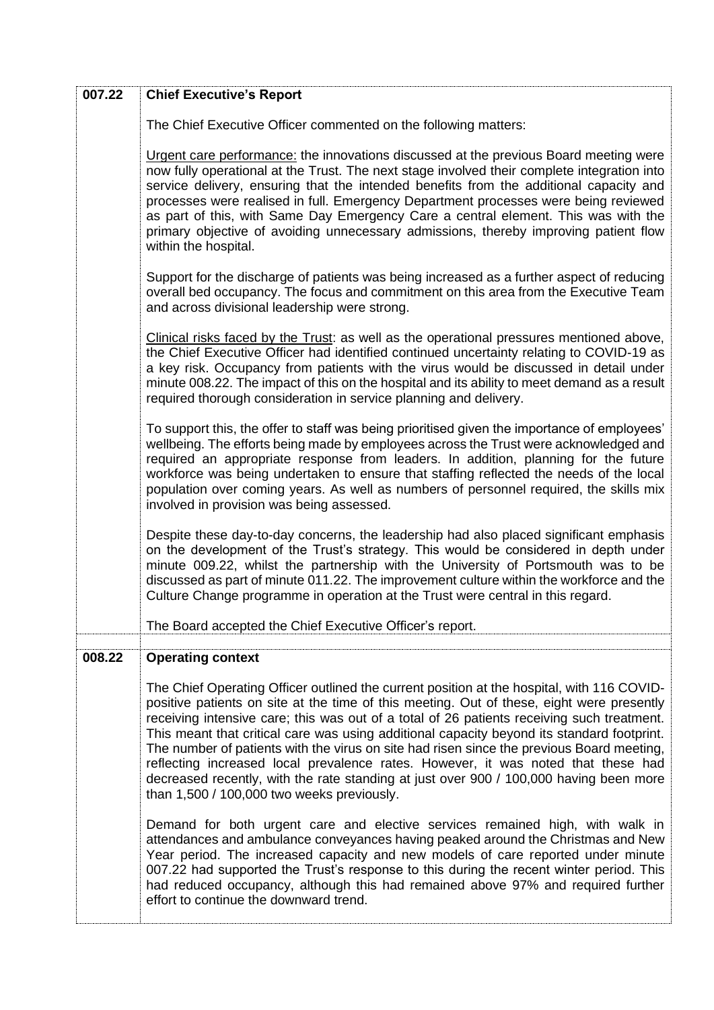| 007.22 | <b>Chief Executive's Report</b>                                                                                                                                                                                                                                                                                                                                                                                                                                                                                                                                                                                                                                                                               |
|--------|---------------------------------------------------------------------------------------------------------------------------------------------------------------------------------------------------------------------------------------------------------------------------------------------------------------------------------------------------------------------------------------------------------------------------------------------------------------------------------------------------------------------------------------------------------------------------------------------------------------------------------------------------------------------------------------------------------------|
|        | The Chief Executive Officer commented on the following matters:                                                                                                                                                                                                                                                                                                                                                                                                                                                                                                                                                                                                                                               |
|        | Urgent care performance: the innovations discussed at the previous Board meeting were<br>now fully operational at the Trust. The next stage involved their complete integration into<br>service delivery, ensuring that the intended benefits from the additional capacity and<br>processes were realised in full. Emergency Department processes were being reviewed<br>as part of this, with Same Day Emergency Care a central element. This was with the<br>primary objective of avoiding unnecessary admissions, thereby improving patient flow<br>within the hospital.                                                                                                                                   |
|        | Support for the discharge of patients was being increased as a further aspect of reducing<br>overall bed occupancy. The focus and commitment on this area from the Executive Team<br>and across divisional leadership were strong.                                                                                                                                                                                                                                                                                                                                                                                                                                                                            |
|        | Clinical risks faced by the Trust: as well as the operational pressures mentioned above,<br>the Chief Executive Officer had identified continued uncertainty relating to COVID-19 as<br>a key risk. Occupancy from patients with the virus would be discussed in detail under<br>minute 008.22. The impact of this on the hospital and its ability to meet demand as a result<br>required thorough consideration in service planning and delivery.                                                                                                                                                                                                                                                            |
|        | To support this, the offer to staff was being prioritised given the importance of employees'<br>wellbeing. The efforts being made by employees across the Trust were acknowledged and<br>required an appropriate response from leaders. In addition, planning for the future<br>workforce was being undertaken to ensure that staffing reflected the needs of the local<br>population over coming years. As well as numbers of personnel required, the skills mix<br>involved in provision was being assessed.                                                                                                                                                                                                |
|        | Despite these day-to-day concerns, the leadership had also placed significant emphasis<br>on the development of the Trust's strategy. This would be considered in depth under<br>minute 009.22, whilst the partnership with the University of Portsmouth was to be<br>discussed as part of minute 011.22. The improvement culture within the workforce and the<br>Culture Change programme in operation at the Trust were central in this regard.                                                                                                                                                                                                                                                             |
|        | The Board accepted the Chief Executive Officer's report.                                                                                                                                                                                                                                                                                                                                                                                                                                                                                                                                                                                                                                                      |
| 008.22 | <b>Operating context</b>                                                                                                                                                                                                                                                                                                                                                                                                                                                                                                                                                                                                                                                                                      |
|        | The Chief Operating Officer outlined the current position at the hospital, with 116 COVID-<br>positive patients on site at the time of this meeting. Out of these, eight were presently<br>receiving intensive care; this was out of a total of 26 patients receiving such treatment.<br>This meant that critical care was using additional capacity beyond its standard footprint.<br>The number of patients with the virus on site had risen since the previous Board meeting,<br>reflecting increased local prevalence rates. However, it was noted that these had<br>decreased recently, with the rate standing at just over 900 / 100,000 having been more<br>than 1,500 / 100,000 two weeks previously. |
|        | Demand for both urgent care and elective services remained high, with walk in<br>attendances and ambulance conveyances having peaked around the Christmas and New<br>Year period. The increased capacity and new models of care reported under minute<br>007.22 had supported the Trust's response to this during the recent winter period. This<br>had reduced occupancy, although this had remained above 97% and required further<br>effort to continue the downward trend.                                                                                                                                                                                                                                |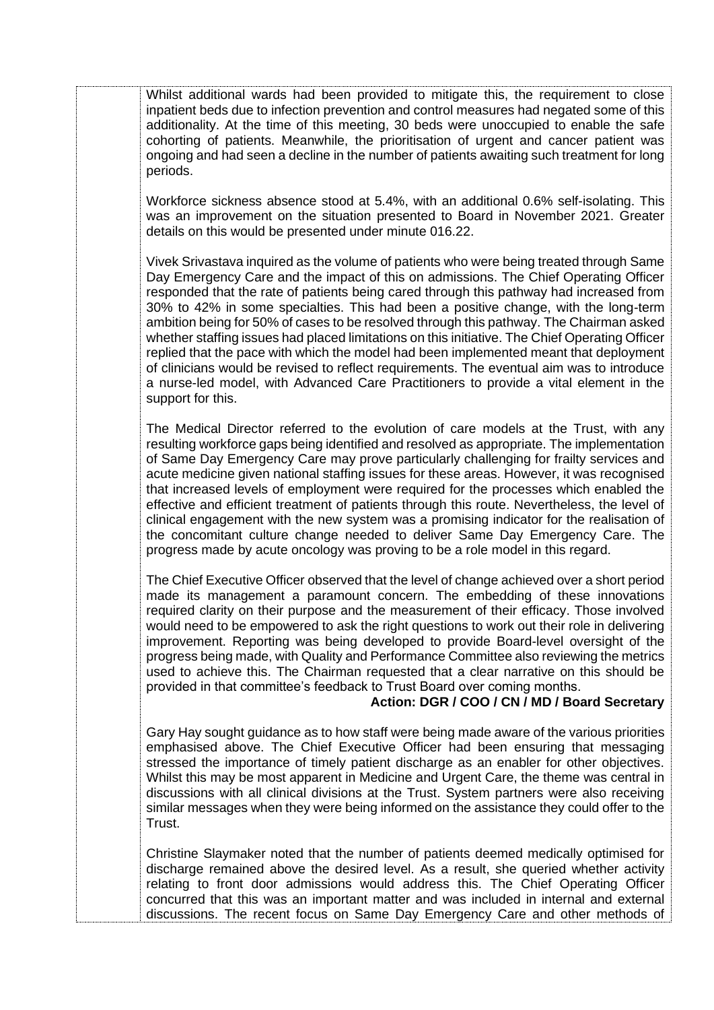Whilst additional wards had been provided to mitigate this, the requirement to close inpatient beds due to infection prevention and control measures had negated some of this additionality. At the time of this meeting, 30 beds were unoccupied to enable the safe cohorting of patients. Meanwhile, the prioritisation of urgent and cancer patient was ongoing and had seen a decline in the number of patients awaiting such treatment for long periods.

Workforce sickness absence stood at 5.4%, with an additional 0.6% self-isolating. This was an improvement on the situation presented to Board in November 2021. Greater details on this would be presented under minute 016.22.

Vivek Srivastava inquired as the volume of patients who were being treated through Same Day Emergency Care and the impact of this on admissions. The Chief Operating Officer responded that the rate of patients being cared through this pathway had increased from 30% to 42% in some specialties. This had been a positive change, with the long-term ambition being for 50% of cases to be resolved through this pathway. The Chairman asked whether staffing issues had placed limitations on this initiative. The Chief Operating Officer replied that the pace with which the model had been implemented meant that deployment of clinicians would be revised to reflect requirements. The eventual aim was to introduce a nurse-led model, with Advanced Care Practitioners to provide a vital element in the support for this.

The Medical Director referred to the evolution of care models at the Trust, with any resulting workforce gaps being identified and resolved as appropriate. The implementation of Same Day Emergency Care may prove particularly challenging for frailty services and acute medicine given national staffing issues for these areas. However, it was recognised that increased levels of employment were required for the processes which enabled the effective and efficient treatment of patients through this route. Nevertheless, the level of clinical engagement with the new system was a promising indicator for the realisation of the concomitant culture change needed to deliver Same Day Emergency Care. The progress made by acute oncology was proving to be a role model in this regard.

The Chief Executive Officer observed that the level of change achieved over a short period made its management a paramount concern. The embedding of these innovations required clarity on their purpose and the measurement of their efficacy. Those involved would need to be empowered to ask the right questions to work out their role in delivering improvement. Reporting was being developed to provide Board-level oversight of the progress being made, with Quality and Performance Committee also reviewing the metrics used to achieve this. The Chairman requested that a clear narrative on this should be provided in that committee's feedback to Trust Board over coming months.

### **Action: DGR / COO / CN / MD / Board Secretary**

Gary Hay sought guidance as to how staff were being made aware of the various priorities emphasised above. The Chief Executive Officer had been ensuring that messaging stressed the importance of timely patient discharge as an enabler for other objectives. Whilst this may be most apparent in Medicine and Urgent Care, the theme was central in discussions with all clinical divisions at the Trust. System partners were also receiving similar messages when they were being informed on the assistance they could offer to the **Trust** 

Christine Slaymaker noted that the number of patients deemed medically optimised for discharge remained above the desired level. As a result, she queried whether activity relating to front door admissions would address this. The Chief Operating Officer concurred that this was an important matter and was included in internal and external discussions. The recent focus on Same Day Emergency Care and other methods of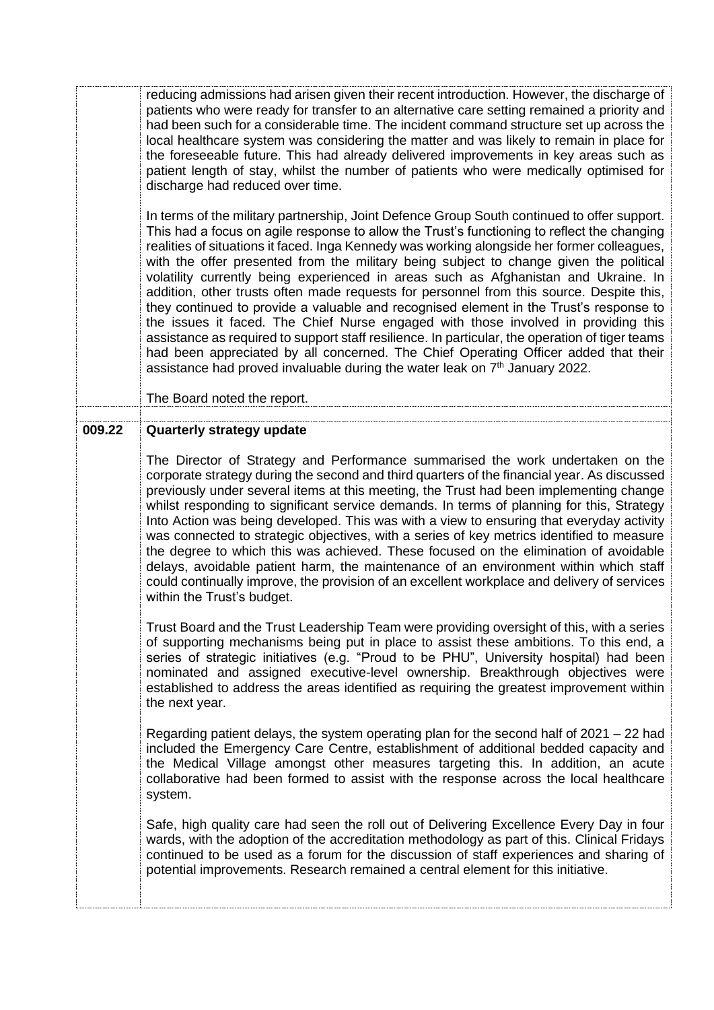reducing admissions had arisen given their recent introduction. However, the discharge of patients who were ready for transfer to an alternative care setting remained a priority and had been such for a considerable time. The incident command structure set up across the local healthcare system was considering the matter and was likely to remain in place for the foreseeable future. This had already delivered improvements in key areas such as patient length of stay, whilst the number of patients who were medically optimised for discharge had reduced over time.

In terms of the military partnership, Joint Defence Group South continued to offer support. This had a focus on agile response to allow the Trust's functioning to reflect the changing realities of situations it faced. Inga Kennedy was working alongside her former colleagues, with the offer presented from the military being subject to change given the political volatility currently being experienced in areas such as Afghanistan and Ukraine. In addition, other trusts often made requests for personnel from this source. Despite this, they continued to provide a valuable and recognised element in the Trust's response to the issues it faced. The Chief Nurse engaged with those involved in providing this assistance as required to support staff resilience. In particular, the operation of tiger teams had been appreciated by all concerned. The Chief Operating Officer added that their assistance had proved invaluable during the water leak on  $7<sup>th</sup>$  January 2022.

The Board noted the report.

## **009.22 Quarterly strategy update**

The Director of Strategy and Performance summarised the work undertaken on the corporate strategy during the second and third quarters of the financial year. As discussed previously under several items at this meeting, the Trust had been implementing change whilst responding to significant service demands. In terms of planning for this, Strategy Into Action was being developed. This was with a view to ensuring that everyday activity was connected to strategic objectives, with a series of key metrics identified to measure the degree to which this was achieved. These focused on the elimination of avoidable delays, avoidable patient harm, the maintenance of an environment within which staff could continually improve, the provision of an excellent workplace and delivery of services within the Trust's budget.

Trust Board and the Trust Leadership Team were providing oversight of this, with a series of supporting mechanisms being put in place to assist these ambitions. To this end, a series of strategic initiatives (e.g. "Proud to be PHU", University hospital) had been nominated and assigned executive-level ownership. Breakthrough objectives were established to address the areas identified as requiring the greatest improvement within the next year.

Regarding patient delays, the system operating plan for the second half of 2021 – 22 had included the Emergency Care Centre, establishment of additional bedded capacity and the Medical Village amongst other measures targeting this. In addition, an acute collaborative had been formed to assist with the response across the local healthcare system.

Safe, high quality care had seen the roll out of Delivering Excellence Every Day in four wards, with the adoption of the accreditation methodology as part of this. Clinical Fridays continued to be used as a forum for the discussion of staff experiences and sharing of potential improvements. Research remained a central element for this initiative.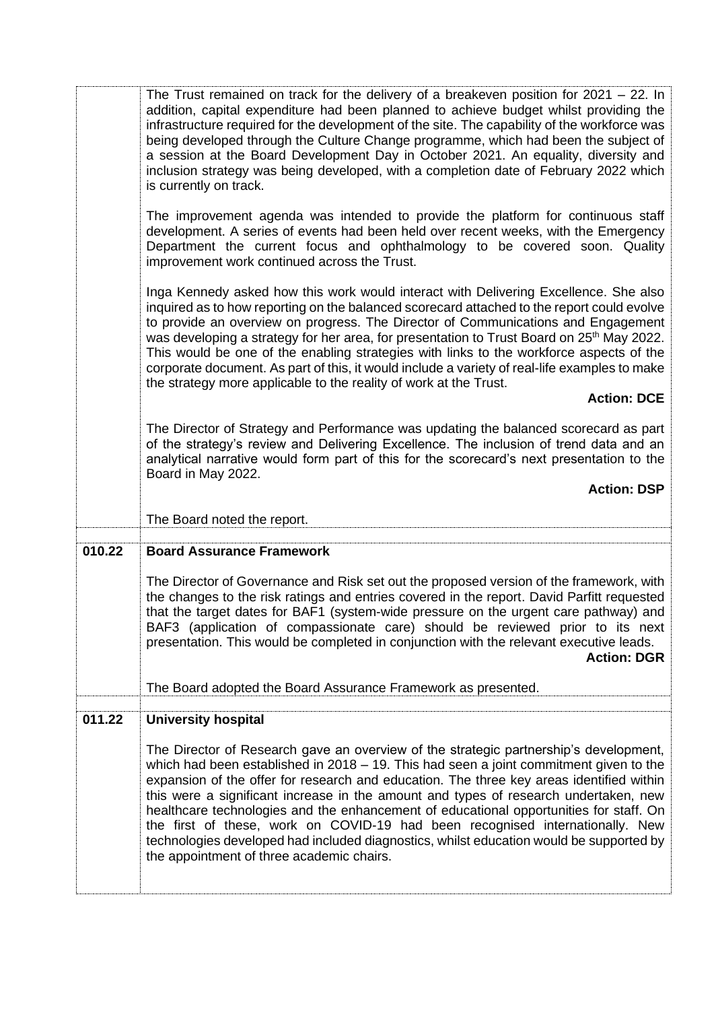|        | The Trust remained on track for the delivery of a breakeven position for $2021 - 22$ . In<br>addition, capital expenditure had been planned to achieve budget whilst providing the<br>infrastructure required for the development of the site. The capability of the workforce was<br>being developed through the Culture Change programme, which had been the subject of<br>a session at the Board Development Day in October 2021. An equality, diversity and<br>inclusion strategy was being developed, with a completion date of February 2022 which<br>is currently on track.                                                                                      |
|--------|-------------------------------------------------------------------------------------------------------------------------------------------------------------------------------------------------------------------------------------------------------------------------------------------------------------------------------------------------------------------------------------------------------------------------------------------------------------------------------------------------------------------------------------------------------------------------------------------------------------------------------------------------------------------------|
|        | The improvement agenda was intended to provide the platform for continuous staff<br>development. A series of events had been held over recent weeks, with the Emergency<br>Department the current focus and ophthalmology to be covered soon. Quality<br>improvement work continued across the Trust.                                                                                                                                                                                                                                                                                                                                                                   |
|        | Inga Kennedy asked how this work would interact with Delivering Excellence. She also<br>inquired as to how reporting on the balanced scorecard attached to the report could evolve<br>to provide an overview on progress. The Director of Communications and Engagement<br>was developing a strategy for her area, for presentation to Trust Board on 25 <sup>th</sup> May 2022.<br>This would be one of the enabling strategies with links to the workforce aspects of the<br>corporate document. As part of this, it would include a variety of real-life examples to make<br>the strategy more applicable to the reality of work at the Trust.<br><b>Action: DCE</b> |
|        | The Director of Strategy and Performance was updating the balanced scorecard as part<br>of the strategy's review and Delivering Excellence. The inclusion of trend data and an<br>analytical narrative would form part of this for the scorecard's next presentation to the<br>Board in May 2022.                                                                                                                                                                                                                                                                                                                                                                       |
|        | <b>Action: DSP</b>                                                                                                                                                                                                                                                                                                                                                                                                                                                                                                                                                                                                                                                      |
|        |                                                                                                                                                                                                                                                                                                                                                                                                                                                                                                                                                                                                                                                                         |
|        | The Board noted the report.                                                                                                                                                                                                                                                                                                                                                                                                                                                                                                                                                                                                                                             |
| 010.22 | <b>Board Assurance Framework</b>                                                                                                                                                                                                                                                                                                                                                                                                                                                                                                                                                                                                                                        |
|        | The Director of Governance and Risk set out the proposed version of the framework, with<br>the changes to the risk ratings and entries covered in the report. David Parfitt requested<br>that the target dates for BAF1 (system-wide pressure on the urgent care pathway) and<br>BAF3 (application of compassionate care) should be reviewed prior to its next<br>presentation. This would be completed in conjunction with the relevant executive leads.<br><b>Action: DGR</b>                                                                                                                                                                                         |
|        | The Board adopted the Board Assurance Framework as presented.                                                                                                                                                                                                                                                                                                                                                                                                                                                                                                                                                                                                           |
| 011.22 | <b>University hospital</b>                                                                                                                                                                                                                                                                                                                                                                                                                                                                                                                                                                                                                                              |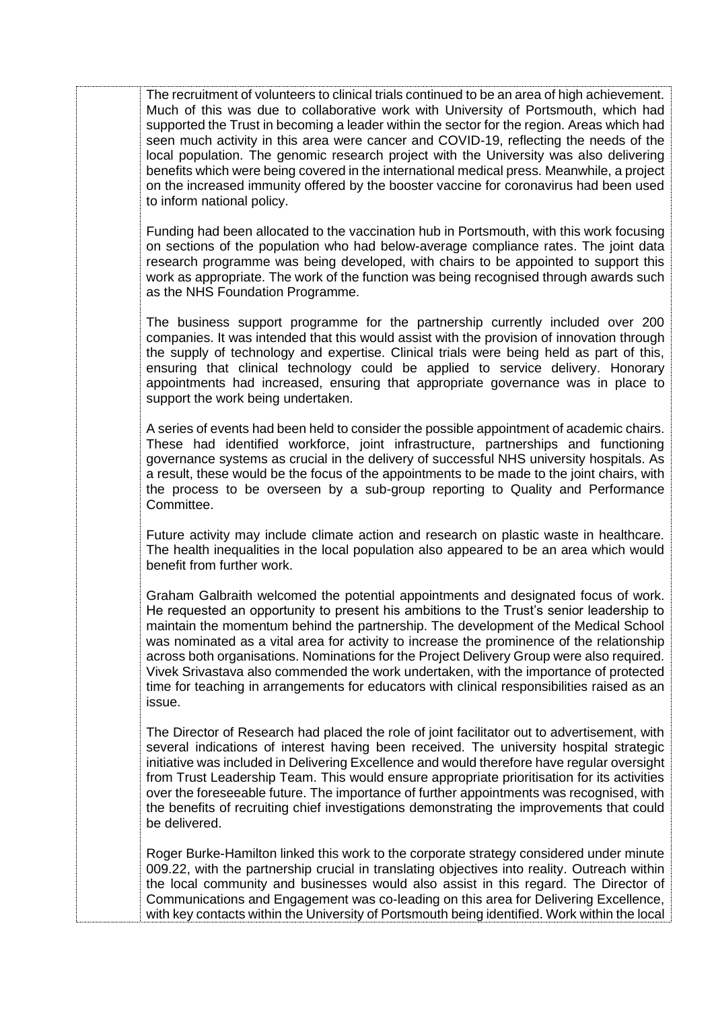The recruitment of volunteers to clinical trials continued to be an area of high achievement. Much of this was due to collaborative work with University of Portsmouth, which had supported the Trust in becoming a leader within the sector for the region. Areas which had seen much activity in this area were cancer and COVID-19, reflecting the needs of the local population. The genomic research project with the University was also delivering benefits which were being covered in the international medical press. Meanwhile, a project on the increased immunity offered by the booster vaccine for coronavirus had been used to inform national policy.

Funding had been allocated to the vaccination hub in Portsmouth, with this work focusing on sections of the population who had below-average compliance rates. The joint data research programme was being developed, with chairs to be appointed to support this work as appropriate. The work of the function was being recognised through awards such as the NHS Foundation Programme.

The business support programme for the partnership currently included over 200 companies. It was intended that this would assist with the provision of innovation through the supply of technology and expertise. Clinical trials were being held as part of this, ensuring that clinical technology could be applied to service delivery. Honorary appointments had increased, ensuring that appropriate governance was in place to support the work being undertaken.

A series of events had been held to consider the possible appointment of academic chairs. These had identified workforce, joint infrastructure, partnerships and functioning governance systems as crucial in the delivery of successful NHS university hospitals. As a result, these would be the focus of the appointments to be made to the joint chairs, with the process to be overseen by a sub-group reporting to Quality and Performance Committee.

Future activity may include climate action and research on plastic waste in healthcare. The health inequalities in the local population also appeared to be an area which would benefit from further work.

Graham Galbraith welcomed the potential appointments and designated focus of work. He requested an opportunity to present his ambitions to the Trust's senior leadership to maintain the momentum behind the partnership. The development of the Medical School was nominated as a vital area for activity to increase the prominence of the relationship across both organisations. Nominations for the Project Delivery Group were also required. Vivek Srivastava also commended the work undertaken, with the importance of protected time for teaching in arrangements for educators with clinical responsibilities raised as an issue.

The Director of Research had placed the role of joint facilitator out to advertisement, with several indications of interest having been received. The university hospital strategic initiative was included in Delivering Excellence and would therefore have regular oversight from Trust Leadership Team. This would ensure appropriate prioritisation for its activities over the foreseeable future. The importance of further appointments was recognised, with the benefits of recruiting chief investigations demonstrating the improvements that could be delivered.

Roger Burke-Hamilton linked this work to the corporate strategy considered under minute 009.22, with the partnership crucial in translating objectives into reality. Outreach within the local community and businesses would also assist in this regard. The Director of Communications and Engagement was co-leading on this area for Delivering Excellence, with key contacts within the University of Portsmouth being identified. Work within the local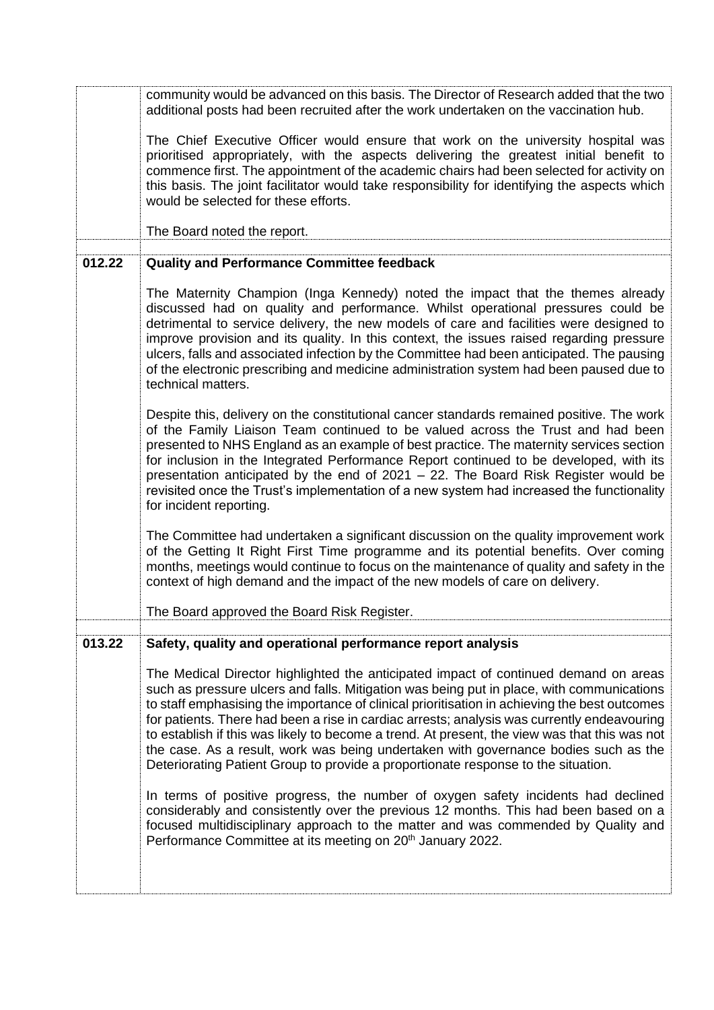|        | community would be advanced on this basis. The Director of Research added that the two<br>additional posts had been recruited after the work undertaken on the vaccination hub.                                                                                                                                                                                                                                                                                                                                                                                                                                                                                                                                                                                                                                                                                                                                                                                                                           |
|--------|-----------------------------------------------------------------------------------------------------------------------------------------------------------------------------------------------------------------------------------------------------------------------------------------------------------------------------------------------------------------------------------------------------------------------------------------------------------------------------------------------------------------------------------------------------------------------------------------------------------------------------------------------------------------------------------------------------------------------------------------------------------------------------------------------------------------------------------------------------------------------------------------------------------------------------------------------------------------------------------------------------------|
|        | The Chief Executive Officer would ensure that work on the university hospital was<br>prioritised appropriately, with the aspects delivering the greatest initial benefit to<br>commence first. The appointment of the academic chairs had been selected for activity on<br>this basis. The joint facilitator would take responsibility for identifying the aspects which<br>would be selected for these efforts.                                                                                                                                                                                                                                                                                                                                                                                                                                                                                                                                                                                          |
|        | The Board noted the report.                                                                                                                                                                                                                                                                                                                                                                                                                                                                                                                                                                                                                                                                                                                                                                                                                                                                                                                                                                               |
| 012.22 | <b>Quality and Performance Committee feedback</b>                                                                                                                                                                                                                                                                                                                                                                                                                                                                                                                                                                                                                                                                                                                                                                                                                                                                                                                                                         |
|        |                                                                                                                                                                                                                                                                                                                                                                                                                                                                                                                                                                                                                                                                                                                                                                                                                                                                                                                                                                                                           |
|        | The Maternity Champion (Inga Kennedy) noted the impact that the themes already<br>discussed had on quality and performance. Whilst operational pressures could be<br>detrimental to service delivery, the new models of care and facilities were designed to<br>improve provision and its quality. In this context, the issues raised regarding pressure<br>ulcers, falls and associated infection by the Committee had been anticipated. The pausing<br>of the electronic prescribing and medicine administration system had been paused due to<br>technical matters.                                                                                                                                                                                                                                                                                                                                                                                                                                    |
|        | Despite this, delivery on the constitutional cancer standards remained positive. The work<br>of the Family Liaison Team continued to be valued across the Trust and had been<br>presented to NHS England as an example of best practice. The maternity services section<br>for inclusion in the Integrated Performance Report continued to be developed, with its<br>presentation anticipated by the end of 2021 - 22. The Board Risk Register would be<br>revisited once the Trust's implementation of a new system had increased the functionality<br>for incident reporting.                                                                                                                                                                                                                                                                                                                                                                                                                           |
|        | The Committee had undertaken a significant discussion on the quality improvement work<br>of the Getting It Right First Time programme and its potential benefits. Over coming<br>months, meetings would continue to focus on the maintenance of quality and safety in the<br>context of high demand and the impact of the new models of care on delivery.                                                                                                                                                                                                                                                                                                                                                                                                                                                                                                                                                                                                                                                 |
|        | The Board approved the Board Risk Register.                                                                                                                                                                                                                                                                                                                                                                                                                                                                                                                                                                                                                                                                                                                                                                                                                                                                                                                                                               |
| 013.22 | Safety, quality and operational performance report analysis                                                                                                                                                                                                                                                                                                                                                                                                                                                                                                                                                                                                                                                                                                                                                                                                                                                                                                                                               |
|        | The Medical Director highlighted the anticipated impact of continued demand on areas<br>such as pressure ulcers and falls. Mitigation was being put in place, with communications<br>to staff emphasising the importance of clinical prioritisation in achieving the best outcomes<br>for patients. There had been a rise in cardiac arrests; analysis was currently endeavouring<br>to establish if this was likely to become a trend. At present, the view was that this was not<br>the case. As a result, work was being undertaken with governance bodies such as the<br>Deteriorating Patient Group to provide a proportionate response to the situation.<br>In terms of positive progress, the number of oxygen safety incidents had declined<br>considerably and consistently over the previous 12 months. This had been based on a<br>focused multidisciplinary approach to the matter and was commended by Quality and<br>Performance Committee at its meeting on 20 <sup>th</sup> January 2022. |
|        |                                                                                                                                                                                                                                                                                                                                                                                                                                                                                                                                                                                                                                                                                                                                                                                                                                                                                                                                                                                                           |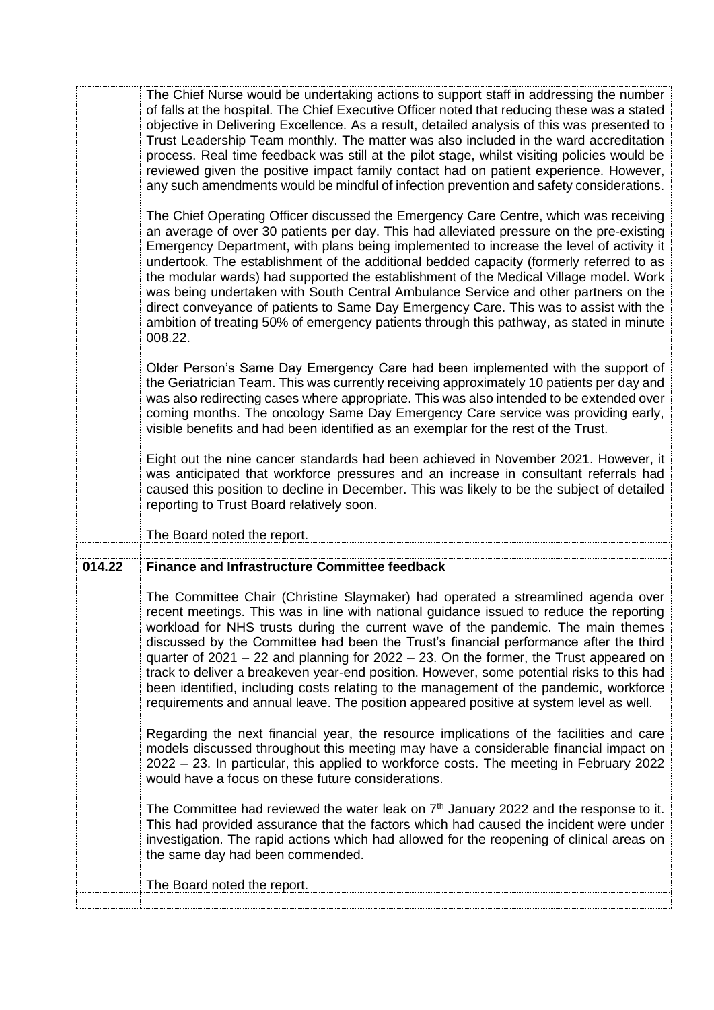| The Chief Nurse would be undertaking actions to support staff in addressing the number<br>of falls at the hospital. The Chief Executive Officer noted that reducing these was a stated<br>objective in Delivering Excellence. As a result, detailed analysis of this was presented to<br>Trust Leadership Team monthly. The matter was also included in the ward accreditation<br>process. Real time feedback was still at the pilot stage, whilst visiting policies would be<br>reviewed given the positive impact family contact had on patient experience. However,<br>any such amendments would be mindful of infection prevention and safety considerations.<br>The Chief Operating Officer discussed the Emergency Care Centre, which was receiving<br>an average of over 30 patients per day. This had alleviated pressure on the pre-existing<br>Emergency Department, with plans being implemented to increase the level of activity it<br>undertook. The establishment of the additional bedded capacity (formerly referred to as<br>the modular wards) had supported the establishment of the Medical Village model. Work<br>was being undertaken with South Central Ambulance Service and other partners on the<br>direct conveyance of patients to Same Day Emergency Care. This was to assist with the<br>ambition of treating 50% of emergency patients through this pathway, as stated in minute |
|------------------------------------------------------------------------------------------------------------------------------------------------------------------------------------------------------------------------------------------------------------------------------------------------------------------------------------------------------------------------------------------------------------------------------------------------------------------------------------------------------------------------------------------------------------------------------------------------------------------------------------------------------------------------------------------------------------------------------------------------------------------------------------------------------------------------------------------------------------------------------------------------------------------------------------------------------------------------------------------------------------------------------------------------------------------------------------------------------------------------------------------------------------------------------------------------------------------------------------------------------------------------------------------------------------------------------------------------------------------------------------------------------------------|
| 008.22.<br>Older Person's Same Day Emergency Care had been implemented with the support of<br>the Geriatrician Team. This was currently receiving approximately 10 patients per day and<br>was also redirecting cases where appropriate. This was also intended to be extended over<br>coming months. The oncology Same Day Emergency Care service was providing early,<br>visible benefits and had been identified as an exemplar for the rest of the Trust.<br>Eight out the nine cancer standards had been achieved in November 2021. However, it<br>was anticipated that workforce pressures and an increase in consultant referrals had<br>caused this position to decline in December. This was likely to be the subject of detailed<br>reporting to Trust Board relatively soon.                                                                                                                                                                                                                                                                                                                                                                                                                                                                                                                                                                                                                          |
| The Board noted the report.                                                                                                                                                                                                                                                                                                                                                                                                                                                                                                                                                                                                                                                                                                                                                                                                                                                                                                                                                                                                                                                                                                                                                                                                                                                                                                                                                                                      |
| <b>Finance and Infrastructure Committee feedback</b>                                                                                                                                                                                                                                                                                                                                                                                                                                                                                                                                                                                                                                                                                                                                                                                                                                                                                                                                                                                                                                                                                                                                                                                                                                                                                                                                                             |
| The Committee Chair (Christine Slaymaker) had operated a streamlined agenda over<br>recent meetings. This was in line with national guidance issued to reduce the reporting<br>workload for NHS trusts during the current wave of the pandemic. The main themes<br>discussed by the Committee had been the Trust's financial performance after the third<br>quarter of $2021 - 22$ and planning for $2022 - 23$ . On the former, the Trust appeared on<br>track to deliver a breakeven year-end position. However, some potential risks to this had<br>been identified, including costs relating to the management of the pandemic, workforce<br>requirements and annual leave. The position appeared positive at system level as well.<br>Regarding the next financial year, the resource implications of the facilities and care<br>models discussed throughout this meeting may have a considerable financial impact on<br>2022 - 23. In particular, this applied to workforce costs. The meeting in February 2022                                                                                                                                                                                                                                                                                                                                                                                            |
| would have a focus on these future considerations.<br>The Committee had reviewed the water leak on $7th$ January 2022 and the response to it.<br>This had provided assurance that the factors which had caused the incident were under<br>investigation. The rapid actions which had allowed for the reopening of clinical areas on<br>the same day had been commended.                                                                                                                                                                                                                                                                                                                                                                                                                                                                                                                                                                                                                                                                                                                                                                                                                                                                                                                                                                                                                                          |
|                                                                                                                                                                                                                                                                                                                                                                                                                                                                                                                                                                                                                                                                                                                                                                                                                                                                                                                                                                                                                                                                                                                                                                                                                                                                                                                                                                                                                  |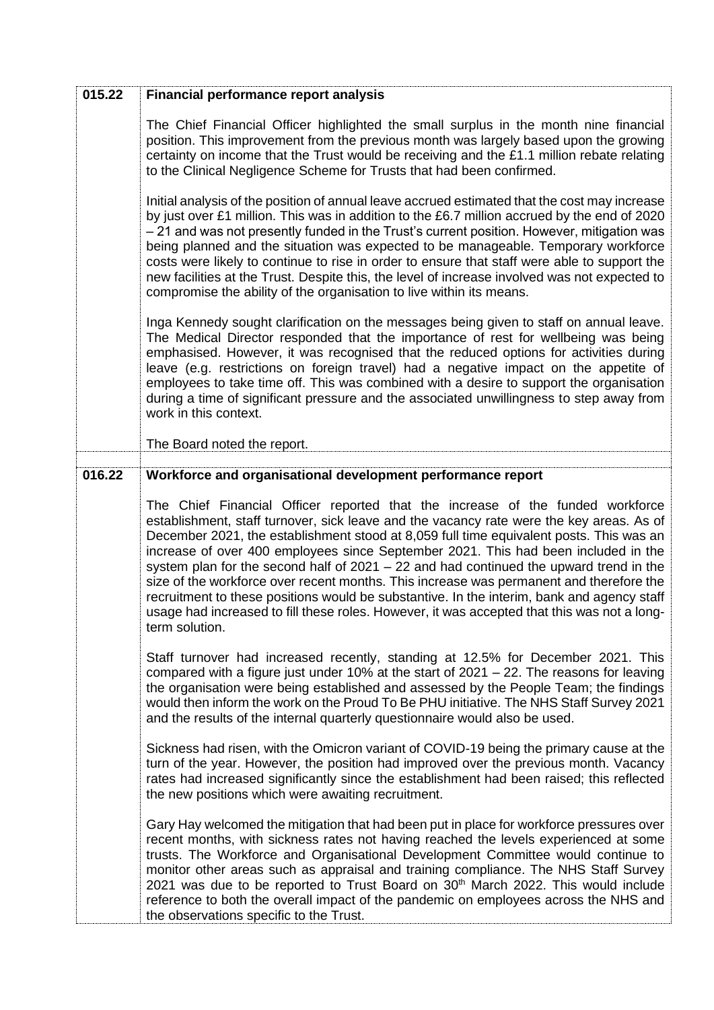| 015.22 | <b>Financial performance report analysis</b>                                                                                                                                                                                                                                                                                                                                                                                                                                                                                                                                                                                                                                                                                                                      |
|--------|-------------------------------------------------------------------------------------------------------------------------------------------------------------------------------------------------------------------------------------------------------------------------------------------------------------------------------------------------------------------------------------------------------------------------------------------------------------------------------------------------------------------------------------------------------------------------------------------------------------------------------------------------------------------------------------------------------------------------------------------------------------------|
|        | The Chief Financial Officer highlighted the small surplus in the month nine financial<br>position. This improvement from the previous month was largely based upon the growing<br>certainty on income that the Trust would be receiving and the £1.1 million rebate relating<br>to the Clinical Negligence Scheme for Trusts that had been confirmed.                                                                                                                                                                                                                                                                                                                                                                                                             |
|        | Initial analysis of the position of annual leave accrued estimated that the cost may increase<br>by just over £1 million. This was in addition to the £6.7 million accrued by the end of 2020<br>- 21 and was not presently funded in the Trust's current position. However, mitigation was<br>being planned and the situation was expected to be manageable. Temporary workforce<br>costs were likely to continue to rise in order to ensure that staff were able to support the<br>new facilities at the Trust. Despite this, the level of increase involved was not expected to<br>compromise the ability of the organisation to live within its means.                                                                                                        |
|        | Inga Kennedy sought clarification on the messages being given to staff on annual leave.<br>The Medical Director responded that the importance of rest for wellbeing was being<br>emphasised. However, it was recognised that the reduced options for activities during<br>leave (e.g. restrictions on foreign travel) had a negative impact on the appetite of<br>employees to take time off. This was combined with a desire to support the organisation<br>during a time of significant pressure and the associated unwillingness to step away from<br>work in this context.                                                                                                                                                                                    |
|        | The Board noted the report.                                                                                                                                                                                                                                                                                                                                                                                                                                                                                                                                                                                                                                                                                                                                       |
| 016.22 | Workforce and organisational development performance report                                                                                                                                                                                                                                                                                                                                                                                                                                                                                                                                                                                                                                                                                                       |
|        | The Chief Financial Officer reported that the increase of the funded workforce<br>establishment, staff turnover, sick leave and the vacancy rate were the key areas. As of<br>December 2021, the establishment stood at 8,059 full time equivalent posts. This was an<br>increase of over 400 employees since September 2021. This had been included in the<br>system plan for the second half of $2021 - 22$ and had continued the upward trend in the<br>size of the workforce over recent months. This increase was permanent and therefore the<br>recruitment to these positions would be substantive. In the interim, bank and agency staff<br>usage had increased to fill these roles. However, it was accepted that this was not a long-<br>term solution. |
|        | Staff turnover had increased recently, standing at 12.5% for December 2021. This<br>compared with a figure just under 10% at the start of $2021 - 22$ . The reasons for leaving<br>the organisation were being established and assessed by the People Team; the findings<br>would then inform the work on the Proud To Be PHU initiative. The NHS Staff Survey 2021<br>and the results of the internal quarterly questionnaire would also be used.                                                                                                                                                                                                                                                                                                                |
|        | Sickness had risen, with the Omicron variant of COVID-19 being the primary cause at the<br>turn of the year. However, the position had improved over the previous month. Vacancy<br>rates had increased significantly since the establishment had been raised; this reflected<br>the new positions which were awaiting recruitment.                                                                                                                                                                                                                                                                                                                                                                                                                               |
|        | Gary Hay welcomed the mitigation that had been put in place for workforce pressures over<br>recent months, with sickness rates not having reached the levels experienced at some<br>trusts. The Workforce and Organisational Development Committee would continue to<br>monitor other areas such as appraisal and training compliance. The NHS Staff Survey<br>2021 was due to be reported to Trust Board on 30 <sup>th</sup> March 2022. This would include<br>reference to both the overall impact of the pandemic on employees across the NHS and<br>the observations specific to the Trust.                                                                                                                                                                   |